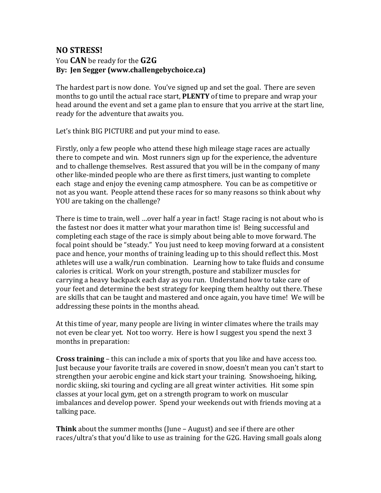## **NO STRESS!** You **CAN** be ready for the **G2G** By: Jen Segger (www.challengebychoice.ca)

The hardest part is now done. You've signed up and set the goal. There are seven months to go until the actual race start, **PLENTY** of time to prepare and wrap your head around the event and set a game plan to ensure that you arrive at the start line, ready for the adventure that awaits you.

Let's think BIG PICTURE and put your mind to ease.

Firstly, only a few people who attend these high mileage stage races are actually there to compete and win. Most runners sign up for the experience, the adventure and to challenge themselves. Rest assured that you will be in the company of many other like-minded people who are there as first timers, just wanting to complete each stage and enjoy the evening camp atmosphere. You can be as competitive or not as you want. People attend these races for so many reasons so think about why YOU are taking on the challenge?

There is time to train, well …over half a year in fact! Stage racing is not about who is the fastest nor does it matter what your marathon time is! Being successful and completing each stage of the race is simply about being able to move forward. The focal point should be "steady." You just need to keep moving forward at a consistent pace and hence, your months of training leading up to this should reflect this. Most athletes will use a walk/run combination. Learning how to take fluids and consume calories is critical. Work on your strength, posture and stabilizer muscles for carrying a heavy backpack each day as you run. Understand how to take care of your feet and determine the best strategy for keeping them healthy out there. These are skills that can be taught and mastered and once again, you have time! We will be addressing these points in the months ahead.

At this time of year, many people are living in winter climates where the trails may not even be clear yet. Not too worry. Here is how I suggest you spend the next 3 months in preparation:

**Cross training** – this can include a mix of sports that you like and have access too. Just because your favorite trails are covered in snow, doesn't mean you can't start to strengthen your aerobic engine and kick start your training. Snowshoeing, hiking, nordic skiing, ski touring and cycling are all great winter activities. Hit some spin classes at your local gym, get on a strength program to work on muscular imbalances and develop power. Spend your weekends out with friends moving at a talking pace.

**Think** about the summer months (June – August) and see if there are other races/ultra's that you'd like to use as training for the G2G. Having small goals along